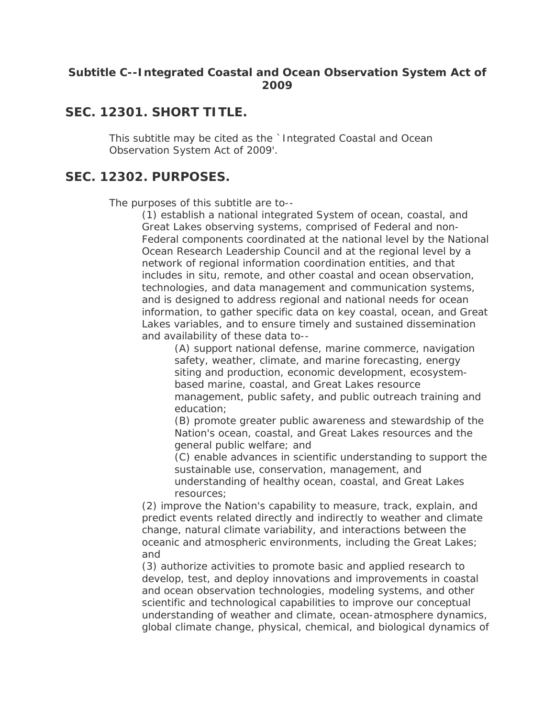#### **Subtitle C--Integrated Coastal and Ocean Observation System Act of 2009**

#### **SEC. 12301. SHORT TITLE.**

This subtitle may be cited as the `Integrated Coastal and Ocean Observation System Act of 2009'.

#### **SEC. 12302. PURPOSES.**

The purposes of this subtitle are to--

(1) establish a national integrated System of ocean, coastal, and Great Lakes observing systems, comprised of Federal and non-Federal components coordinated at the national level by the National Ocean Research Leadership Council and at the regional level by a network of regional information coordination entities, and that includes in situ, remote, and other coastal and ocean observation, technologies, and data management and communication systems, and is designed to address regional and national needs for ocean information, to gather specific data on key coastal, ocean, and Great Lakes variables, and to ensure timely and sustained dissemination and availability of these data to--

(A) support national defense, marine commerce, navigation safety, weather, climate, and marine forecasting, energy siting and production, economic development, ecosystembased marine, coastal, and Great Lakes resource management, public safety, and public outreach training and education;

(B) promote greater public awareness and stewardship of the Nation's ocean, coastal, and Great Lakes resources and the general public welfare; and

(C) enable advances in scientific understanding to support the sustainable use, conservation, management, and understanding of healthy ocean, coastal, and Great Lakes resources;

(2) improve the Nation's capability to measure, track, explain, and predict events related directly and indirectly to weather and climate change, natural climate variability, and interactions between the oceanic and atmospheric environments, including the Great Lakes; and

(3) authorize activities to promote basic and applied research to develop, test, and deploy innovations and improvements in coastal and ocean observation technologies, modeling systems, and other scientific and technological capabilities to improve our conceptual understanding of weather and climate, ocean-atmosphere dynamics, global climate change, physical, chemical, and biological dynamics of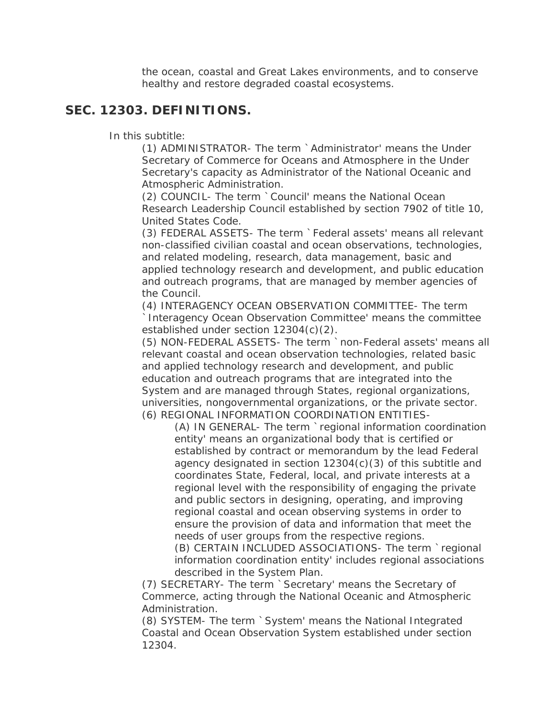the ocean, coastal and Great Lakes environments, and to conserve healthy and restore degraded coastal ecosystems.

#### **SEC. 12303. DEFINITIONS.**

In this subtitle:

(1) ADMINISTRATOR- The term `Administrator' means the Under Secretary of Commerce for Oceans and Atmosphere in the Under Secretary's capacity as Administrator of the National Oceanic and Atmospheric Administration.

(2) COUNCIL- The term `Council' means the National Ocean Research Leadership Council established by section 7902 of title 10, United States Code.

(3) FEDERAL ASSETS- The term `Federal assets' means all relevant non-classified civilian coastal and ocean observations, technologies, and related modeling, research, data management, basic and applied technology research and development, and public education and outreach programs, that are managed by member agencies of the Council.

(4) INTERAGENCY OCEAN OBSERVATION COMMITTEE- The term `Interagency Ocean Observation Committee' means the committee established under section 12304(c)(2).

(5) NON-FEDERAL ASSETS- The term `non-Federal assets' means all relevant coastal and ocean observation technologies, related basic and applied technology research and development, and public education and outreach programs that are integrated into the System and are managed through States, regional organizations, universities, nongovernmental organizations, or the private sector. (6) REGIONAL INFORMATION COORDINATION ENTITIES-

(A) IN GENERAL- The term `regional information coordination entity' means an organizational body that is certified or established by contract or memorandum by the lead Federal agency designated in section 12304(c)(3) of this subtitle and coordinates State, Federal, local, and private interests at a regional level with the responsibility of engaging the private and public sectors in designing, operating, and improving regional coastal and ocean observing systems in order to ensure the provision of data and information that meet the needs of user groups from the respective regions.

(B) CERTAIN INCLUDED ASSOCIATIONS- The term `regional information coordination entity' includes regional associations described in the System Plan.

(7) SECRETARY- The term `Secretary' means the Secretary of Commerce, acting through the National Oceanic and Atmospheric Administration.

(8) SYSTEM- The term `System' means the National Integrated Coastal and Ocean Observation System established under section 12304.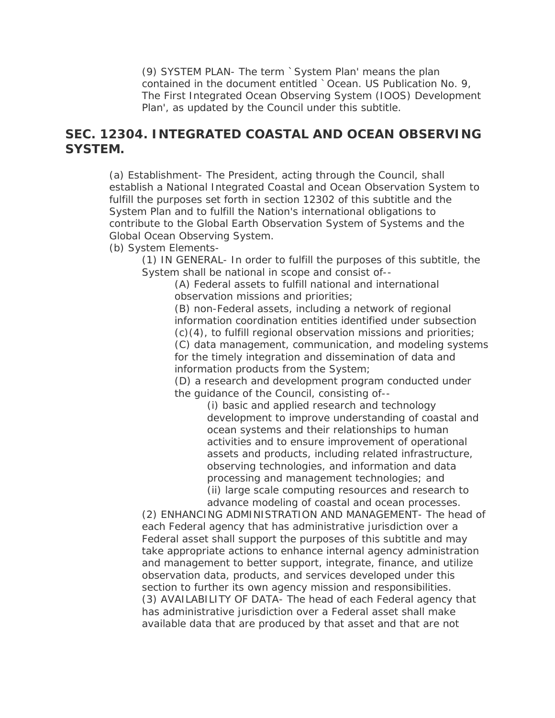(9) SYSTEM PLAN- The term `System Plan' means the plan contained in the document entitled `Ocean. US Publication No. 9, The First Integrated Ocean Observing System (IOOS) Development Plan', as updated by the Council under this subtitle.

## **SEC. 12304. INTEGRATED COASTAL AND OCEAN OBSERVING SYSTEM.**

(a) Establishment- The President, acting through the Council, shall establish a National Integrated Coastal and Ocean Observation System to fulfill the purposes set forth in section 12302 of this subtitle and the System Plan and to fulfill the Nation's international obligations to contribute to the Global Earth Observation System of Systems and the Global Ocean Observing System.

(b) System Elements-

(1) IN GENERAL- In order to fulfill the purposes of this subtitle, the System shall be national in scope and consist of--

(A) Federal assets to fulfill national and international observation missions and priorities;

(B) non-Federal assets, including a network of regional information coordination entities identified under subsection  $(c)(4)$ , to fulfill regional observation missions and priorities; (C) data management, communication, and modeling systems for the timely integration and dissemination of data and information products from the System;

(D) a research and development program conducted under the guidance of the Council, consisting of--

> (i) basic and applied research and technology development to improve understanding of coastal and ocean systems and their relationships to human activities and to ensure improvement of operational assets and products, including related infrastructure, observing technologies, and information and data processing and management technologies; and (ii) large scale computing resources and research to advance modeling of coastal and ocean processes.

(2) ENHANCING ADMINISTRATION AND MANAGEMENT- The head of each Federal agency that has administrative jurisdiction over a Federal asset shall support the purposes of this subtitle and may take appropriate actions to enhance internal agency administration and management to better support, integrate, finance, and utilize observation data, products, and services developed under this section to further its own agency mission and responsibilities. (3) AVAILABILITY OF DATA- The head of each Federal agency that has administrative jurisdiction over a Federal asset shall make available data that are produced by that asset and that are not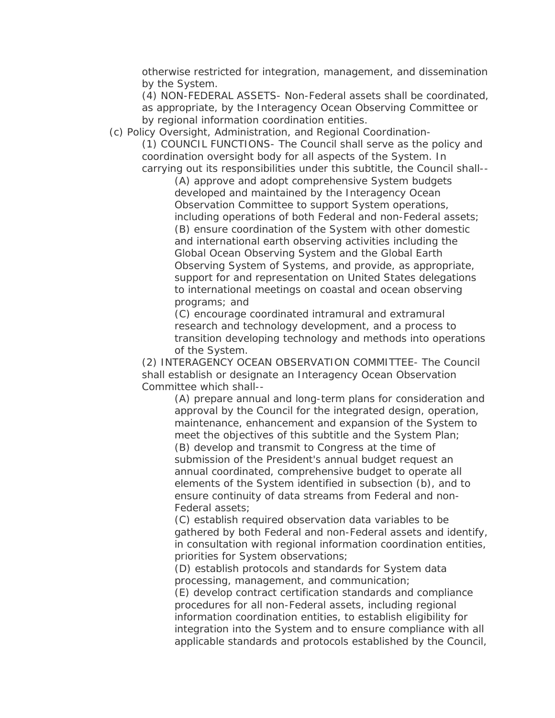otherwise restricted for integration, management, and dissemination by the System.

(4) NON-FEDERAL ASSETS- Non-Federal assets shall be coordinated, as appropriate, by the Interagency Ocean Observing Committee or by regional information coordination entities.

(c) Policy Oversight, Administration, and Regional Coordination- (1) COUNCIL FUNCTIONS- The Council shall serve as the policy and coordination oversight body for all aspects of the System. In carrying out its responsibilities under this subtitle, the Council shall--

(A) approve and adopt comprehensive System budgets developed and maintained by the Interagency Ocean Observation Committee to support System operations, including operations of both Federal and non-Federal assets; (B) ensure coordination of the System with other domestic and international earth observing activities including the Global Ocean Observing System and the Global Earth Observing System of Systems, and provide, as appropriate, support for and representation on United States delegations to international meetings on coastal and ocean observing programs; and

(C) encourage coordinated intramural and extramural research and technology development, and a process to transition developing technology and methods into operations of the System.

(2) INTERAGENCY OCEAN OBSERVATION COMMITTEE- The Council shall establish or designate an Interagency Ocean Observation Committee which shall--

(A) prepare annual and long-term plans for consideration and approval by the Council for the integrated design, operation, maintenance, enhancement and expansion of the System to meet the objectives of this subtitle and the System Plan; (B) develop and transmit to Congress at the time of submission of the President's annual budget request an annual coordinated, comprehensive budget to operate all elements of the System identified in subsection (b), and to ensure continuity of data streams from Federal and non-Federal assets;

(C) establish required observation data variables to be gathered by both Federal and non-Federal assets and identify, in consultation with regional information coordination entities, priorities for System observations;

(D) establish protocols and standards for System data processing, management, and communication;

(E) develop contract certification standards and compliance procedures for all non-Federal assets, including regional information coordination entities, to establish eligibility for integration into the System and to ensure compliance with all applicable standards and protocols established by the Council,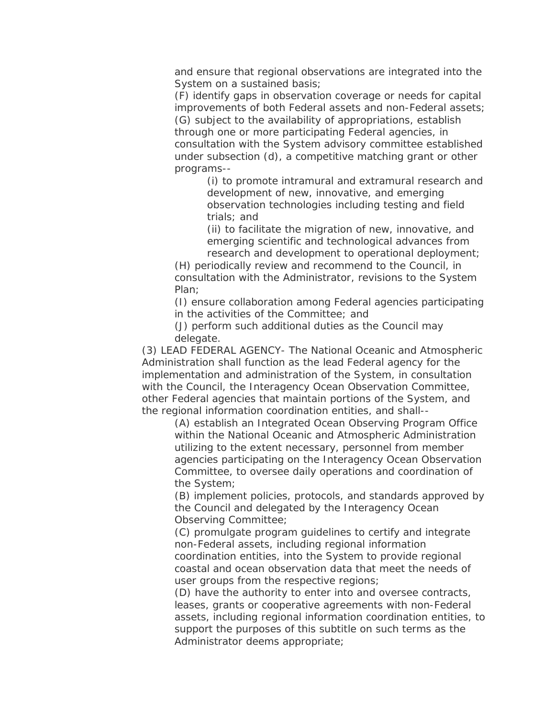and ensure that regional observations are integrated into the System on a sustained basis;

(F) identify gaps in observation coverage or needs for capital improvements of both Federal assets and non-Federal assets; (G) subject to the availability of appropriations, establish through one or more participating Federal agencies, in consultation with the System advisory committee established under subsection (d), a competitive matching grant or other programs--

> (i) to promote intramural and extramural research and development of new, innovative, and emerging observation technologies including testing and field trials; and

(ii) to facilitate the migration of new, innovative, and emerging scientific and technological advances from research and development to operational deployment;

(H) periodically review and recommend to the Council, in consultation with the Administrator, revisions to the System Plan;

(I) ensure collaboration among Federal agencies participating in the activities of the Committee; and

(J) perform such additional duties as the Council may delegate.

(3) LEAD FEDERAL AGENCY- The National Oceanic and Atmospheric Administration shall function as the lead Federal agency for the implementation and administration of the System, in consultation with the Council, the Interagency Ocean Observation Committee, other Federal agencies that maintain portions of the System, and the regional information coordination entities, and shall--

(A) establish an Integrated Ocean Observing Program Office within the National Oceanic and Atmospheric Administration utilizing to the extent necessary, personnel from member agencies participating on the Interagency Ocean Observation Committee, to oversee daily operations and coordination of the System;

(B) implement policies, protocols, and standards approved by the Council and delegated by the Interagency Ocean Observing Committee;

(C) promulgate program guidelines to certify and integrate non-Federal assets, including regional information coordination entities, into the System to provide regional coastal and ocean observation data that meet the needs of user groups from the respective regions;

(D) have the authority to enter into and oversee contracts, leases, grants or cooperative agreements with non-Federal assets, including regional information coordination entities, to support the purposes of this subtitle on such terms as the Administrator deems appropriate;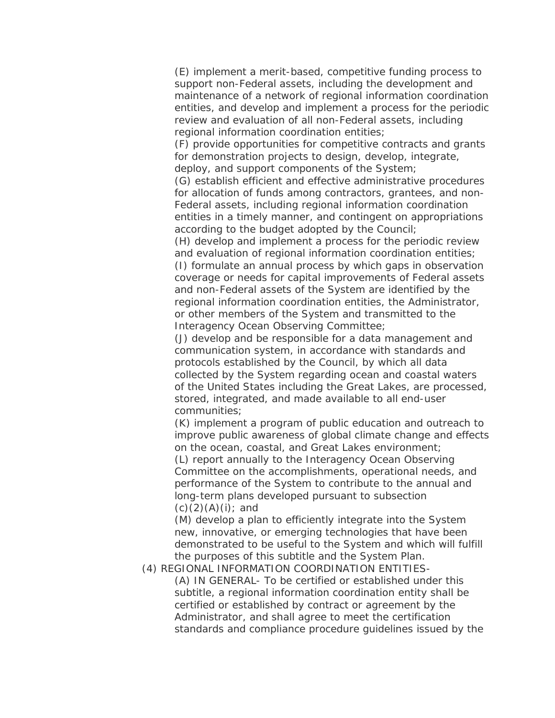(E) implement a merit-based, competitive funding process to support non-Federal assets, including the development and maintenance of a network of regional information coordination entities, and develop and implement a process for the periodic review and evaluation of all non-Federal assets, including regional information coordination entities;

(F) provide opportunities for competitive contracts and grants for demonstration projects to design, develop, integrate, deploy, and support components of the System;

(G) establish efficient and effective administrative procedures for allocation of funds among contractors, grantees, and non-Federal assets, including regional information coordination entities in a timely manner, and contingent on appropriations according to the budget adopted by the Council;

(H) develop and implement a process for the periodic review and evaluation of regional information coordination entities; (I) formulate an annual process by which gaps in observation coverage or needs for capital improvements of Federal assets and non-Federal assets of the System are identified by the regional information coordination entities, the Administrator, or other members of the System and transmitted to the Interagency Ocean Observing Committee;

(J) develop and be responsible for a data management and communication system, in accordance with standards and protocols established by the Council, by which all data collected by the System regarding ocean and coastal waters of the United States including the Great Lakes, are processed, stored, integrated, and made available to all end-user communities;

(K) implement a program of public education and outreach to improve public awareness of global climate change and effects on the ocean, coastal, and Great Lakes environment; (L) report annually to the Interagency Ocean Observing Committee on the accomplishments, operational needs, and performance of the System to contribute to the annual and long-term plans developed pursuant to subsection  $(c)(2)(A)(i)$ ; and

(M) develop a plan to efficiently integrate into the System new, innovative, or emerging technologies that have been demonstrated to be useful to the System and which will fulfill the purposes of this subtitle and the System Plan.

(4) REGIONAL INFORMATION COORDINATION ENTITIES-

(A) IN GENERAL- To be certified or established under this subtitle, a regional information coordination entity shall be certified or established by contract or agreement by the Administrator, and shall agree to meet the certification standards and compliance procedure guidelines issued by the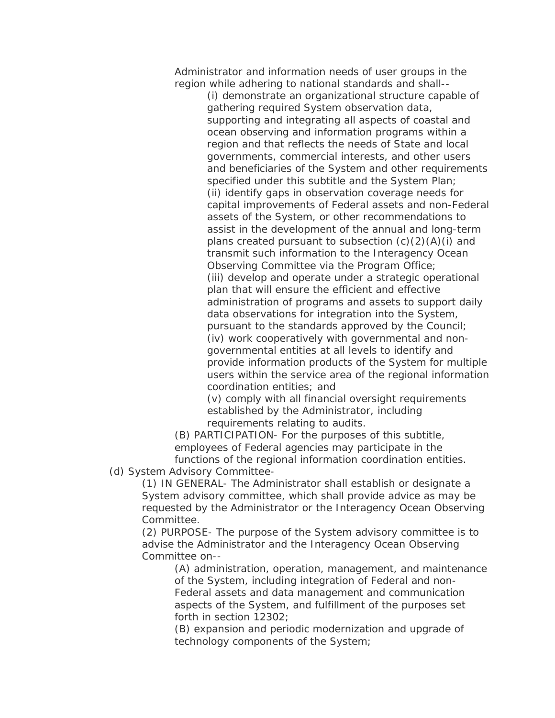Administrator and information needs of user groups in the region while adhering to national standards and shall--

> (i) demonstrate an organizational structure capable of gathering required System observation data, supporting and integrating all aspects of coastal and ocean observing and information programs within a region and that reflects the needs of State and local governments, commercial interests, and other users and beneficiaries of the System and other requirements specified under this subtitle and the System Plan; (ii) identify gaps in observation coverage needs for capital improvements of Federal assets and non-Federal assets of the System, or other recommendations to assist in the development of the annual and long-term plans created pursuant to subsection  $(c)(2)(A)(i)$  and transmit such information to the Interagency Ocean Observing Committee via the Program Office; (iii) develop and operate under a strategic operational plan that will ensure the efficient and effective administration of programs and assets to support daily data observations for integration into the System, pursuant to the standards approved by the Council; (iv) work cooperatively with governmental and nongovernmental entities at all levels to identify and provide information products of the System for multiple users within the service area of the regional information coordination entities; and

(v) comply with all financial oversight requirements established by the Administrator, including requirements relating to audits.

(B) PARTICIPATION- For the purposes of this subtitle, employees of Federal agencies may participate in the functions of the regional information coordination entities.

(d) System Advisory Committee-

(1) IN GENERAL- The Administrator shall establish or designate a System advisory committee, which shall provide advice as may be requested by the Administrator or the Interagency Ocean Observing Committee.

(2) PURPOSE- The purpose of the System advisory committee is to advise the Administrator and the Interagency Ocean Observing Committee on--

(A) administration, operation, management, and maintenance of the System, including integration of Federal and non-Federal assets and data management and communication aspects of the System, and fulfillment of the purposes set forth in section 12302;

(B) expansion and periodic modernization and upgrade of technology components of the System;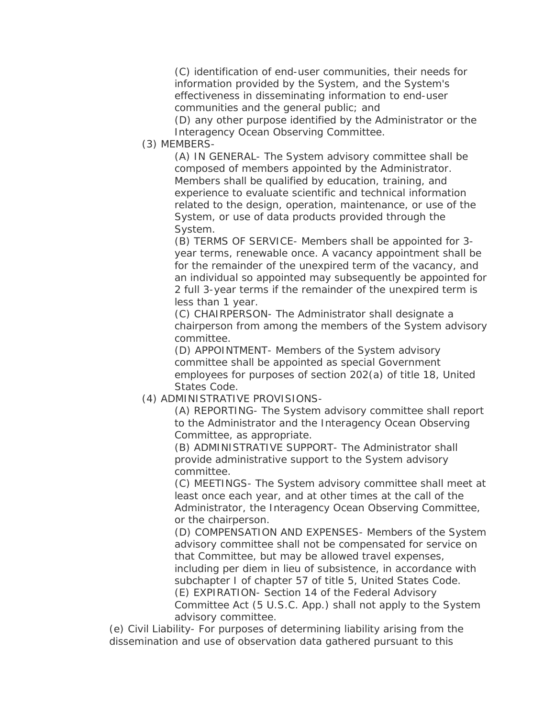(C) identification of end-user communities, their needs for information provided by the System, and the System's effectiveness in disseminating information to end-user communities and the general public; and

(D) any other purpose identified by the Administrator or the Interagency Ocean Observing Committee.

(3) MEMBERS-

(A) IN GENERAL- The System advisory committee shall be composed of members appointed by the Administrator. Members shall be qualified by education, training, and experience to evaluate scientific and technical information related to the design, operation, maintenance, or use of the System, or use of data products provided through the System.

(B) TERMS OF SERVICE- Members shall be appointed for 3 year terms, renewable once. A vacancy appointment shall be for the remainder of the unexpired term of the vacancy, and an individual so appointed may subsequently be appointed for 2 full 3-year terms if the remainder of the unexpired term is less than 1 year.

(C) CHAIRPERSON- The Administrator shall designate a chairperson from among the members of the System advisory committee.

(D) APPOINTMENT- Members of the System advisory committee shall be appointed as special Government employees for purposes of section 202(a) of title 18, United States Code.

(4) ADMINISTRATIVE PROVISIONS-

(A) REPORTING- The System advisory committee shall report to the Administrator and the Interagency Ocean Observing Committee, as appropriate.

(B) ADMINISTRATIVE SUPPORT- The Administrator shall provide administrative support to the System advisory committee.

(C) MEETINGS- The System advisory committee shall meet at least once each year, and at other times at the call of the Administrator, the Interagency Ocean Observing Committee, or the chairperson.

(D) COMPENSATION AND EXPENSES- Members of the System advisory committee shall not be compensated for service on that Committee, but may be allowed travel expenses, including per diem in lieu of subsistence, in accordance with subchapter I of chapter 57 of title 5, United States Code. (E) EXPIRATION- Section 14 of the Federal Advisory Committee Act (5 U.S.C. App.) shall not apply to the System advisory committee.

(e) Civil Liability- For purposes of determining liability arising from the dissemination and use of observation data gathered pursuant to this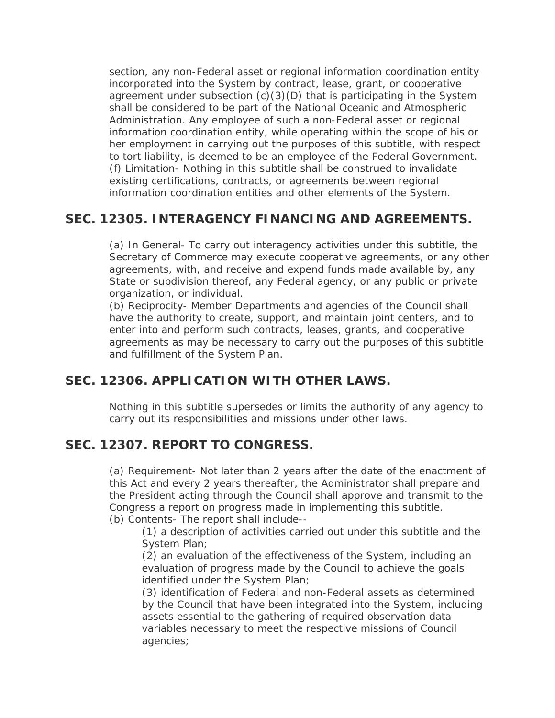section, any non-Federal asset or regional information coordination entity incorporated into the System by contract, lease, grant, or cooperative agreement under subsection (c)(3)(D) that is participating in the System shall be considered to be part of the National Oceanic and Atmospheric Administration. Any employee of such a non-Federal asset or regional information coordination entity, while operating within the scope of his or her employment in carrying out the purposes of this subtitle, with respect to tort liability, is deemed to be an employee of the Federal Government. (f) Limitation- Nothing in this subtitle shall be construed to invalidate existing certifications, contracts, or agreements between regional information coordination entities and other elements of the System.

## **SEC. 12305. INTERAGENCY FINANCING AND AGREEMENTS.**

(a) In General- To carry out interagency activities under this subtitle, the Secretary of Commerce may execute cooperative agreements, or any other agreements, with, and receive and expend funds made available by, any State or subdivision thereof, any Federal agency, or any public or private organization, or individual.

(b) Reciprocity- Member Departments and agencies of the Council shall have the authority to create, support, and maintain joint centers, and to enter into and perform such contracts, leases, grants, and cooperative agreements as may be necessary to carry out the purposes of this subtitle and fulfillment of the System Plan.

# **SEC. 12306. APPLICATION WITH OTHER LAWS.**

Nothing in this subtitle supersedes or limits the authority of any agency to carry out its responsibilities and missions under other laws.

# **SEC. 12307. REPORT TO CONGRESS.**

(a) Requirement- Not later than 2 years after the date of the enactment of this Act and every 2 years thereafter, the Administrator shall prepare and the President acting through the Council shall approve and transmit to the Congress a report on progress made in implementing this subtitle. (b) Contents- The report shall include--

(1) a description of activities carried out under this subtitle and the System Plan;

(2) an evaluation of the effectiveness of the System, including an evaluation of progress made by the Council to achieve the goals identified under the System Plan;

(3) identification of Federal and non-Federal assets as determined by the Council that have been integrated into the System, including assets essential to the gathering of required observation data variables necessary to meet the respective missions of Council agencies;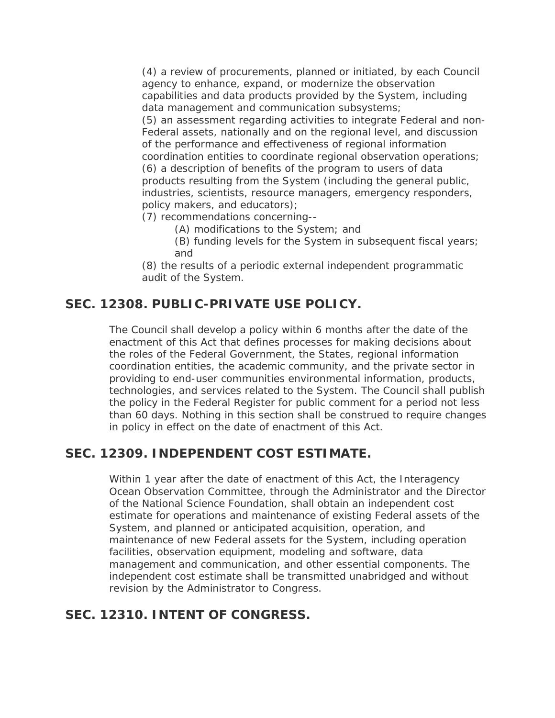(4) a review of procurements, planned or initiated, by each Council agency to enhance, expand, or modernize the observation capabilities and data products provided by the System, including data management and communication subsystems;

(5) an assessment regarding activities to integrate Federal and non-Federal assets, nationally and on the regional level, and discussion of the performance and effectiveness of regional information coordination entities to coordinate regional observation operations; (6) a description of benefits of the program to users of data products resulting from the System (including the general public, industries, scientists, resource managers, emergency responders, policy makers, and educators);

(7) recommendations concerning--

(A) modifications to the System; and

(B) funding levels for the System in subsequent fiscal years; and

(8) the results of a periodic external independent programmatic audit of the System.

## **SEC. 12308. PUBLIC-PRIVATE USE POLICY.**

The Council shall develop a policy within 6 months after the date of the enactment of this Act that defines processes for making decisions about the roles of the Federal Government, the States, regional information coordination entities, the academic community, and the private sector in providing to end-user communities environmental information, products, technologies, and services related to the System. The Council shall publish the policy in the Federal Register for public comment for a period not less than 60 days. Nothing in this section shall be construed to require changes in policy in effect on the date of enactment of this Act.

## **SEC. 12309. INDEPENDENT COST ESTIMATE.**

Within 1 year after the date of enactment of this Act, the Interagency Ocean Observation Committee, through the Administrator and the Director of the National Science Foundation, shall obtain an independent cost estimate for operations and maintenance of existing Federal assets of the System, and planned or anticipated acquisition, operation, and maintenance of new Federal assets for the System, including operation facilities, observation equipment, modeling and software, data management and communication, and other essential components. The independent cost estimate shall be transmitted unabridged and without revision by the Administrator to Congress.

## **SEC. 12310. INTENT OF CONGRESS.**